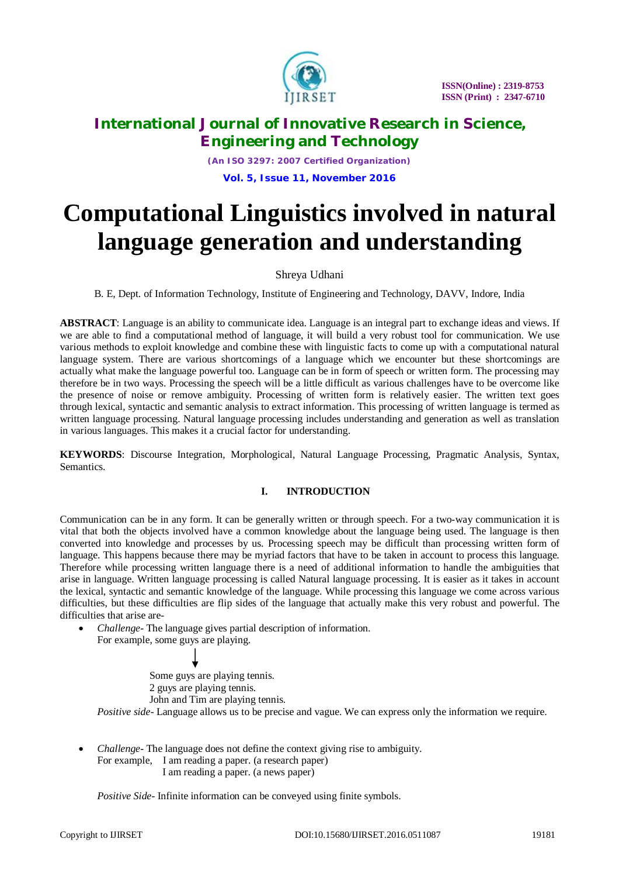

*(An ISO 3297: 2007 Certified Organization)* **Vol. 5, Issue 11, November 2016**

# **Computational Linguistics involved in natural language generation and understanding**

### Shreya Udhani

B. E, Dept. of Information Technology, Institute of Engineering and Technology, DAVV, Indore, India

**ABSTRACT**: Language is an ability to communicate idea. Language is an integral part to exchange ideas and views. If we are able to find a computational method of language, it will build a very robust tool for communication. We use various methods to exploit knowledge and combine these with linguistic facts to come up with a computational natural language system. There are various shortcomings of a language which we encounter but these shortcomings are actually what make the language powerful too. Language can be in form of speech or written form. The processing may therefore be in two ways. Processing the speech will be a little difficult as various challenges have to be overcome like the presence of noise or remove ambiguity. Processing of written form is relatively easier. The written text goes through lexical, syntactic and semantic analysis to extract information. This processing of written language is termed as written language processing. Natural language processing includes understanding and generation as well as translation in various languages. This makes it a crucial factor for understanding.

**KEYWORDS**: Discourse Integration, Morphological, Natural Language Processing, Pragmatic Analysis, Syntax, Semantics.

### **I. INTRODUCTION**

Communication can be in any form. It can be generally written or through speech. For a two-way communication it is vital that both the objects involved have a common knowledge about the language being used. The language is then converted into knowledge and processes by us. Processing speech may be difficult than processing written form of language. This happens because there may be myriad factors that have to be taken in account to process this language. Therefore while processing written language there is a need of additional information to handle the ambiguities that arise in language. Written language processing is called Natural language processing. It is easier as it takes in account the lexical, syntactic and semantic knowledge of the language. While processing this language we come across various difficulties, but these difficulties are flip sides of the language that actually make this very robust and powerful. The difficulties that arise are-

 *Challenge-* The language gives partial description of information. For example, some guys are playing.



 *Challenge-* The language does not define the context giving rise to ambiguity. For example, I am reading a paper. (a research paper) I am reading a paper. (a news paper)

*Positive Side-* Infinite information can be conveyed using finite symbols.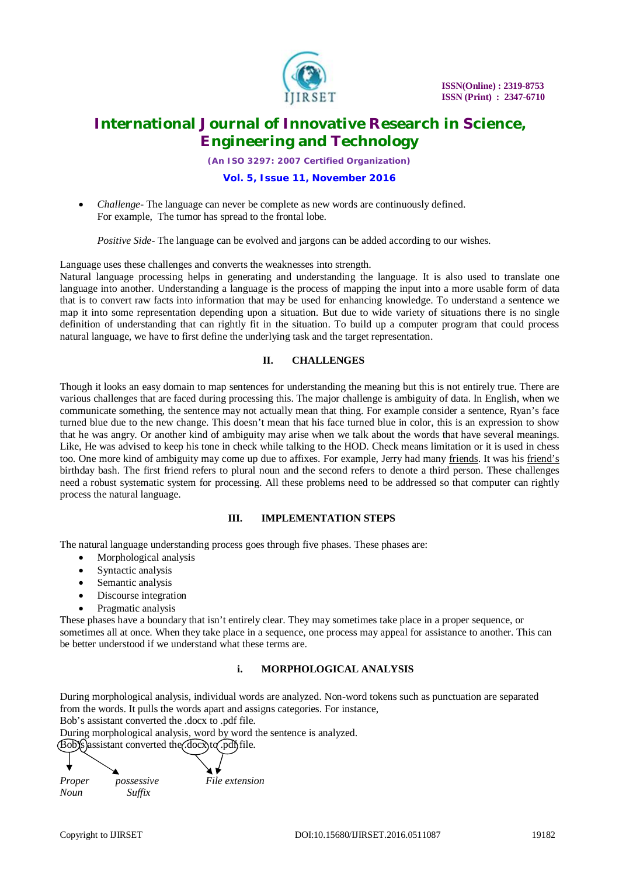

*(An ISO 3297: 2007 Certified Organization)*

### **Vol. 5, Issue 11, November 2016**

 *Challenge-* The language can never be complete as new words are continuously defined. For example, The tumor has spread to the frontal lobe.

*Positive Side*-The language can be evolved and jargons can be added according to our wishes.

Language uses these challenges and converts the weaknesses into strength.

Natural language processing helps in generating and understanding the language. It is also used to translate one language into another. Understanding a language is the process of mapping the input into a more usable form of data that is to convert raw facts into information that may be used for enhancing knowledge. To understand a sentence we map it into some representation depending upon a situation. But due to wide variety of situations there is no single definition of understanding that can rightly fit in the situation. To build up a computer program that could process natural language, we have to first define the underlying task and the target representation.

### **II. CHALLENGES**

Though it looks an easy domain to map sentences for understanding the meaning but this is not entirely true. There are various challenges that are faced during processing this. The major challenge is ambiguity of data. In English, when we communicate something, the sentence may not actually mean that thing. For example consider a sentence, Ryan's face turned blue due to the new change. This doesn't mean that his face turned blue in color, this is an expression to show that he was angry. Or another kind of ambiguity may arise when we talk about the words that have several meanings. Like, He was advised to keep his tone in check while talking to the HOD. Check means limitation or it is used in chess too. One more kind of ambiguity may come up due to affixes. For example, Jerry had many friends. It was his friend's birthday bash. The first friend refers to plural noun and the second refers to denote a third person. These challenges need a robust systematic system for processing. All these problems need to be addressed so that computer can rightly process the natural language.

### **III. IMPLEMENTATION STEPS**

The natural language understanding process goes through five phases. These phases are:

- Morphological analysis
- Syntactic analysis
- Semantic analysis
- Discourse integration
- Pragmatic analysis

These phases have a boundary that isn't entirely clear. They may sometimes take place in a proper sequence, or sometimes all at once. When they take place in a sequence, one process may appeal for assistance to another. This can be better understood if we understand what these terms are.

### **i. MORPHOLOGICAL ANALYSIS**

During morphological analysis, individual words are analyzed. Non-word tokens such as punctuation are separated from the words. It pulls the words apart and assigns categories. For instance,

Bob's assistant converted the .docx to .pdf file.

During morphological analysis, word by word the sentence is analyzed.

 $\left(\overline{Bob}\right)$  assistant converted the  $\left(\overline{doc}x\right)$  to  $\overline{pdf}$  file.

*Proper possessive File extension Noun Suffix*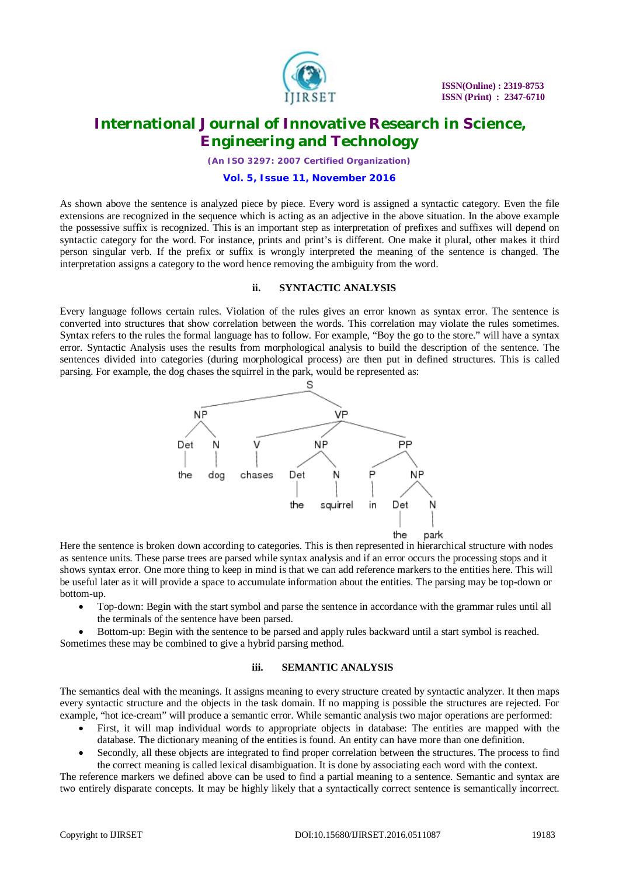

*(An ISO 3297: 2007 Certified Organization)*

#### **Vol. 5, Issue 11, November 2016**

As shown above the sentence is analyzed piece by piece. Every word is assigned a syntactic category. Even the file extensions are recognized in the sequence which is acting as an adjective in the above situation. In the above example the possessive suffix is recognized. This is an important step as interpretation of prefixes and suffixes will depend on syntactic category for the word. For instance, prints and print's is different. One make it plural, other makes it third person singular verb. If the prefix or suffix is wrongly interpreted the meaning of the sentence is changed. The interpretation assigns a category to the word hence removing the ambiguity from the word.

#### **ii. SYNTACTIC ANALYSIS**

Every language follows certain rules. Violation of the rules gives an error known as syntax error. The sentence is converted into structures that show correlation between the words. This correlation may violate the rules sometimes. Syntax refers to the rules the formal language has to follow. For example, "Boy the go to the store." will have a syntax error. Syntactic Analysis uses the results from morphological analysis to build the description of the sentence. The sentences divided into categories (during morphological process) are then put in defined structures. This is called parsing. For example, the dog chases the squirrel in the park, would be represented as:



Here the sentence is broken down according to categories. This is then represented in hierarchical structure with nodes as sentence units. These parse trees are parsed while syntax analysis and if an error occurs the processing stops and it shows syntax error. One more thing to keep in mind is that we can add reference markers to the entities here. This will be useful later as it will provide a space to accumulate information about the entities. The parsing may be top-down or bottom-up.

- Top-down: Begin with the start symbol and parse the sentence in accordance with the grammar rules until all the terminals of the sentence have been parsed.
- Bottom-up: Begin with the sentence to be parsed and apply rules backward until a start symbol is reached. Sometimes these may be combined to give a hybrid parsing method.

### **iii. SEMANTIC ANALYSIS**

The semantics deal with the meanings. It assigns meaning to every structure created by syntactic analyzer. It then maps every syntactic structure and the objects in the task domain. If no mapping is possible the structures are rejected. For example, "hot ice-cream" will produce a semantic error. While semantic analysis two major operations are performed:

- First, it will map individual words to appropriate objects in database: The entities are mapped with the database. The dictionary meaning of the entities is found. An entity can have more than one definition.
- Secondly, all these objects are integrated to find proper correlation between the structures. The process to find the correct meaning is called lexical disambiguation. It is done by associating each word with the context.

The reference markers we defined above can be used to find a partial meaning to a sentence. Semantic and syntax are two entirely disparate concepts. It may be highly likely that a syntactically correct sentence is semantically incorrect.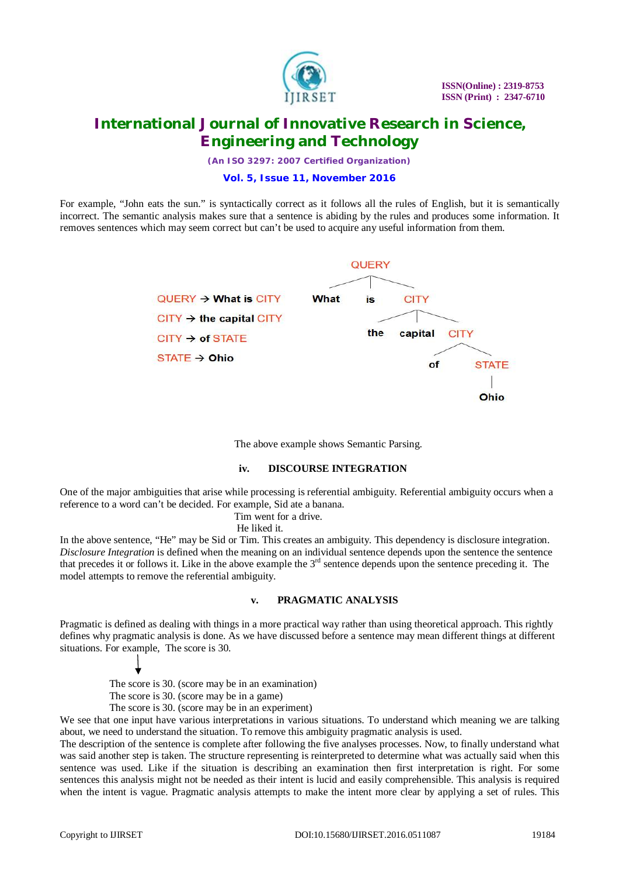

*(An ISO 3297: 2007 Certified Organization)*

### **Vol. 5, Issue 11, November 2016**

For example, "John eats the sun." is syntactically correct as it follows all the rules of English, but it is semantically incorrect. The semantic analysis makes sure that a sentence is abiding by the rules and produces some information. It removes sentences which may seem correct but can't be used to acquire any useful information from them.

> **OUFRY**  $QUERV \rightarrow What$  is CITY What **CITY** is  $CITY \rightarrow$  the capital  $CITY$ the capital **CITY**  $CITY \rightarrow of STATE$  $STATE \rightarrow Ohio$ of **STATE** Ohio

> > The above example shows Semantic Parsing.

### **iv. DISCOURSE INTEGRATION**

One of the major ambiguities that arise while processing is referential ambiguity. Referential ambiguity occurs when a reference to a word can't be decided. For example, Sid ate a banana.

Tim went for a drive.

He liked it.

In the above sentence, "He" may be Sid or Tim. This creates an ambiguity. This dependency is disclosure integration. *Disclosure Integration* is defined when the meaning on an individual sentence depends upon the sentence the sentence that precedes it or follows it. Like in the above example the  $3<sup>rd</sup>$  sentence depends upon the sentence preceding it. The model attempts to remove the referential ambiguity.

### **v. PRAGMATIC ANALYSIS**

Pragmatic is defined as dealing with things in a more practical way rather than using theoretical approach. This rightly defines why pragmatic analysis is done. As we have discussed before a sentence may mean different things at different situations. For example, The score is 30.

 The score is 30. (score may be in an examination) The score is 30. (score may be in a game)

The score is 30. (score may be in an experiment)

We see that one input have various interpretations in various situations. To understand which meaning we are talking about, we need to understand the situation. To remove this ambiguity pragmatic analysis is used.

The description of the sentence is complete after following the five analyses processes. Now, to finally understand what was said another step is taken. The structure representing is reinterpreted to determine what was actually said when this sentence was used. Like if the situation is describing an examination then first interpretation is right. For some sentences this analysis might not be needed as their intent is lucid and easily comprehensible. This analysis is required when the intent is vague. Pragmatic analysis attempts to make the intent more clear by applying a set of rules. This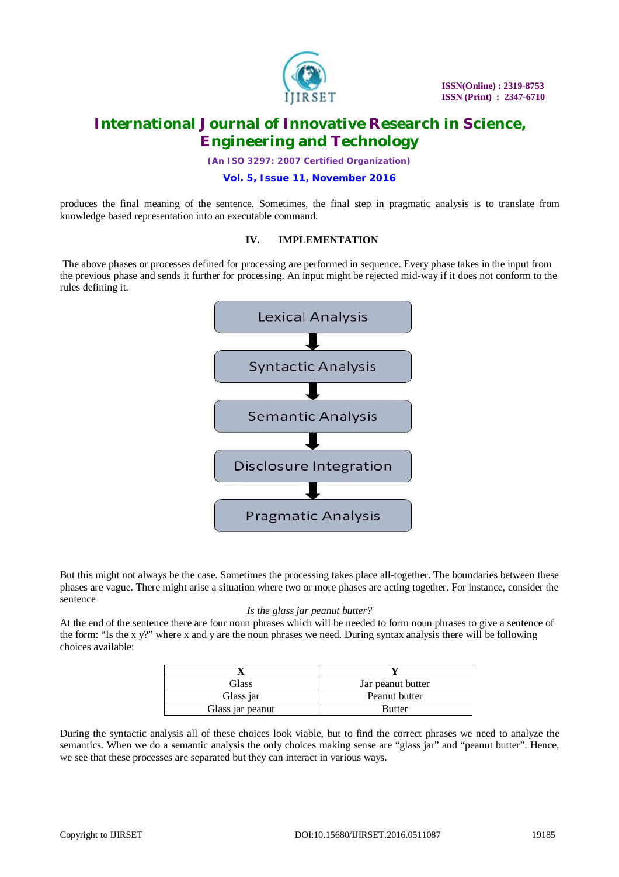

*(An ISO 3297: 2007 Certified Organization)*

### **Vol. 5, Issue 11, November 2016**

produces the final meaning of the sentence. Sometimes, the final step in pragmatic analysis is to translate from knowledge based representation into an executable command.

### **IV. IMPLEMENTATION**

The above phases or processes defined for processing are performed in sequence. Every phase takes in the input from the previous phase and sends it further for processing. An input might be rejected mid-way if it does not conform to the rules defining it.



But this might not always be the case. Sometimes the processing takes place all-together. The boundaries between these phases are vague. There might arise a situation where two or more phases are acting together. For instance, consider the sentence

#### *Is the glass jar peanut butter?*

At the end of the sentence there are four noun phrases which will be needed to form noun phrases to give a sentence of the form: "Is the x y?" where x and y are the noun phrases we need. During syntax analysis there will be following choices available:

| Glass            | Jar peanut butter |
|------------------|-------------------|
| Glass jar        | Peanut butter     |
| Glass jar peanut | Butter            |

During the syntactic analysis all of these choices look viable, but to find the correct phrases we need to analyze the semantics. When we do a semantic analysis the only choices making sense are "glass jar" and "peanut butter". Hence, we see that these processes are separated but they can interact in various ways.